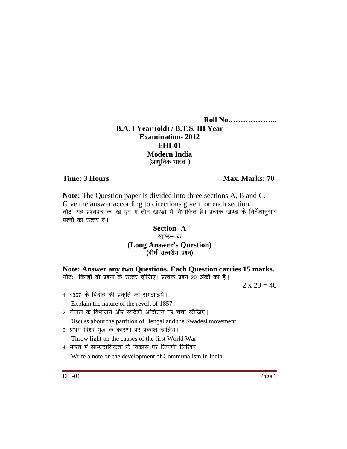**Roll No……………….. B.A. I Year (old) / B.T.S. III Year Examination- 2012 EHI-01 Modern India**  (आधुनिक भारत)

## **Time: 3 Hours Max. Marks: 70**

**Note:** The Question paper is divided into three sections A, B and C. Give the answer according to directions given for each section. नोटः यह प्रश्नपत्र क, ख एवं ग तीन खण्डों में विभाजित है। प्रत्येक खण्ड के निर्देशानुसार प्रश्नों का उत्तर दें।

## **Section- A**  खण्ड- क **(Long Answer's Question)**

(दीर्घ उत्तरीय प्रश्न)

**Note: Answer any two Questions. Each Question carries 15 marks.**  नोट: किन्हीं दो प्रश्नों के उत्तर दीजिए। प्रत्येक प्रश्न 20 अंकों का है।

 $2 \times 20 = 40$ 

- 1. 1857 के विद्रोह की प्रकृति को समझाइये। Explain the nature of the revolt of 1857.
- 2. बंगाल के विभाजन और स्वदेशी आंदोलन पर चर्चा कीजिए। Discuss about the partition of Bengal and the Swadesi movement.
- 3. प्रथम विश्व युद्ध के कारणों पर प्रकाश डालिये। Throw light on the causes of the first World War.
- 4. भारत में साम्प्रदायिकता के विकास पर टिप्पणी लिखिए।

Write a note on the development of Communalism in India.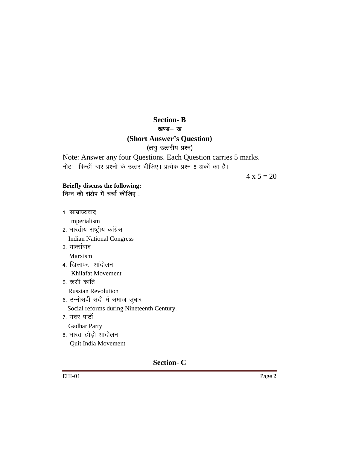## **Section-B**

खण्ड— ख

## (Short Answer's Question)

## (लघु उत्तरीय प्रश्न)

Note: Answer any four Questions. Each Question carries 5 marks. नोटः किन्हीं चार प्रश्नों के उत्तर दीजिए। प्रत्येक प्रश्न 5 अंकों का है।

 $4 \times 5 = 20$ 

## Briefly discuss the following:

निम्न की संक्षेप में चर्चा कीजिए:

1. साम्राज्यवाद

Imperialism

- 2. भारतीय राष्ट्रीय कांग्रेस **Indian National Congress**
- 3. मार्क्सवाद

Marxism

- 4. खिलाफत आंदोलन Khilafat Movement
- 5. रूसी क्रांति **Russian Revolution**
- 6. उन्नीसवीं सदी में समाज सुधार Social reforms during Nineteenth Century.
- 7. गदर पार्टी
- **Gadhar Party**
- 8. भारत छोड़ो आंदोलन Quit India Movement

## **Section-C**

**EHI-01** 

Page 2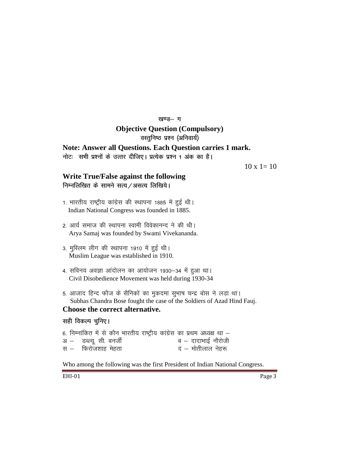#### खण्ड- ग

## **Objective Question (Compulsory)**

वस्तुनिष्ठ प्रश्न (अनिवार्य)

## **Note: Answer all Questions. Each Question carries 1 mark.**

नोट: सभी प्रश्नों के उत्तर दीजिए। प्रत्येक प्रश्न 1 अंक का है।

 $10 \times 1 = 10$ 

# **Write True/False against the following**

निम्नलिखित के सामने सत्य / असत्य लिखिये।

- 1. भारतीय राष्ट्रीय कांग्रेस की स्थापना 1885 में हुई थी। Indian National Congress was founded in 1885.
- 2. आर्य समाज की स्थापना स्वामी विवेकानन्द ने की थी। Arya Samaj was founded by Swami Vivekananda.
- 3. मुस्लिम लीग की स्थापना 1910 में हुई थी। Muslim League was established in 1910.
- 4. सविनय अवज्ञा आंदोलन का आयोजन 1930-34 में हुआ था। Civil Disobedience Movement was held during 1930-34
- 5. आजाद हिन्द फौज के सैनिकों का मुकदमा सुभाष चन्द्र बोस ने लड़ा था। Subhas Chandra Bose fought the case of the Soldiers of Azad Hind Fauj.

## **Choose the correct alternative.**

#### सही विकल्प चुनिए।

|  |                         |  |  |  | 6. निम्नांकित में से कौन भारतीय राष्ट्रीय कांग्रेस का प्रथम अध्यक्ष था – |
|--|-------------------------|--|--|--|--------------------------------------------------------------------------|
|  | अ – डब्ल्यू. सी. बनर्जी |  |  |  | ब – दादाभाई नौरोजी                                                       |
|  | स $-$ फिरोजशाह मेहता    |  |  |  | द – मोतीलाल नेहरू                                                        |

Who among the following was the first President of Indian National Congress.

EHI-01 Page 3